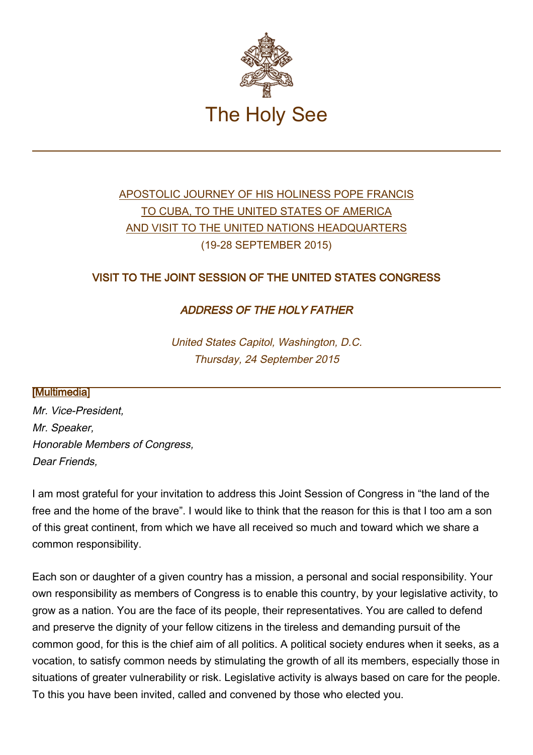

## [APOSTOLIC JOURNEY OF HIS HOLINESS POPE FRANCIS](http://w2.vatican.va/content/francesco/en/travels/2015/outside/documents/papa-francesco-cuba-usa-onu-2015.html) [TO CUBA, TO THE UNITED STATES OF AMERICA](http://w2.vatican.va/content/francesco/en/travels/2015/outside/documents/papa-francesco-cuba-usa-onu-2015.html) [AND VISIT TO THE UNITED NATIONS HEADQUARTERS](http://w2.vatican.va/content/francesco/en/travels/2015/outside/documents/papa-francesco-cuba-usa-onu-2015.html) (19-28 SEPTEMBER 2015)

## VISIT TO THE JOINT SESSION OF THE UNITED STATES CONGRESS

## ADDRESS OF THE HOLY FATHER

United States Capitol, Washington, D.C. Thursday, 24 September 2015

## [\[Multimedia](http://w2.vatican.va/content/francesco/en/events/event.dir.html/content/vaticanevents/en/2015/9/24/usacongress.html)]

Mr. Vice-President, Mr. Speaker, Honorable Members of Congress, Dear Friends,

I am most grateful for your invitation to address this Joint Session of Congress in "the land of the free and the home of the brave". I would like to think that the reason for this is that I too am a son of this great continent, from which we have all received so much and toward which we share a common responsibility.

Each son or daughter of a given country has a mission, a personal and social responsibility. Your own responsibility as members of Congress is to enable this country, by your legislative activity, to grow as a nation. You are the face of its people, their representatives. You are called to defend and preserve the dignity of your fellow citizens in the tireless and demanding pursuit of the common good, for this is the chief aim of all politics. A political society endures when it seeks, as a vocation, to satisfy common needs by stimulating the growth of all its members, especially those in situations of greater vulnerability or risk. Legislative activity is always based on care for the people. To this you have been invited, called and convened by those who elected you.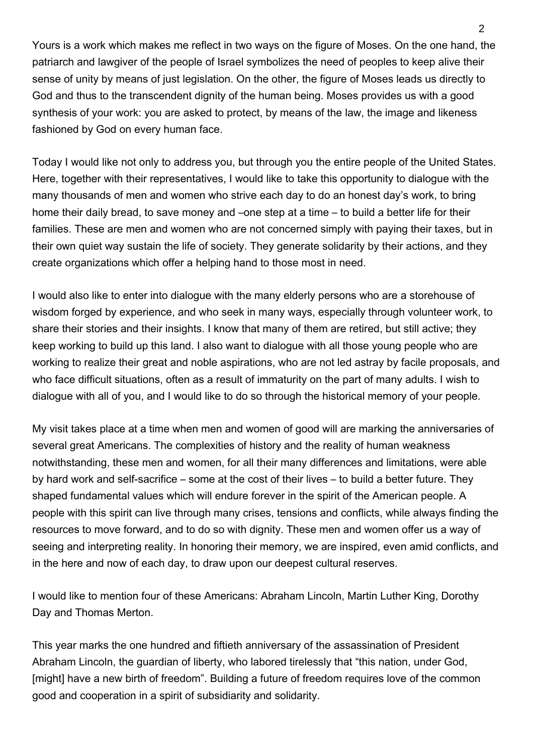Yours is a work which makes me reflect in two ways on the figure of Moses. On the one hand, the patriarch and lawgiver of the people of Israel symbolizes the need of peoples to keep alive their sense of unity by means of just legislation. On the other, the figure of Moses leads us directly to God and thus to the transcendent dignity of the human being. Moses provides us with a good synthesis of your work: you are asked to protect, by means of the law, the image and likeness fashioned by God on every human face.

Today I would like not only to address you, but through you the entire people of the United States. Here, together with their representatives, I would like to take this opportunity to dialogue with the many thousands of men and women who strive each day to do an honest day's work, to bring home their daily bread, to save money and –one step at a time – to build a better life for their families. These are men and women who are not concerned simply with paying their taxes, but in their own quiet way sustain the life of society. They generate solidarity by their actions, and they create organizations which offer a helping hand to those most in need.

I would also like to enter into dialogue with the many elderly persons who are a storehouse of wisdom forged by experience, and who seek in many ways, especially through volunteer work, to share their stories and their insights. I know that many of them are retired, but still active; they keep working to build up this land. I also want to dialogue with all those young people who are working to realize their great and noble aspirations, who are not led astray by facile proposals, and who face difficult situations, often as a result of immaturity on the part of many adults. I wish to dialogue with all of you, and I would like to do so through the historical memory of your people.

My visit takes place at a time when men and women of good will are marking the anniversaries of several great Americans. The complexities of history and the reality of human weakness notwithstanding, these men and women, for all their many differences and limitations, were able by hard work and self-sacrifice – some at the cost of their lives – to build a better future. They shaped fundamental values which will endure forever in the spirit of the American people. A people with this spirit can live through many crises, tensions and conflicts, while always finding the resources to move forward, and to do so with dignity. These men and women offer us a way of seeing and interpreting reality. In honoring their memory, we are inspired, even amid conflicts, and in the here and now of each day, to draw upon our deepest cultural reserves.

I would like to mention four of these Americans: Abraham Lincoln, Martin Luther King, Dorothy Day and Thomas Merton.

This year marks the one hundred and fiftieth anniversary of the assassination of President Abraham Lincoln, the guardian of liberty, who labored tirelessly that "this nation, under God, [might] have a new birth of freedom". Building a future of freedom requires love of the common good and cooperation in a spirit of subsidiarity and solidarity.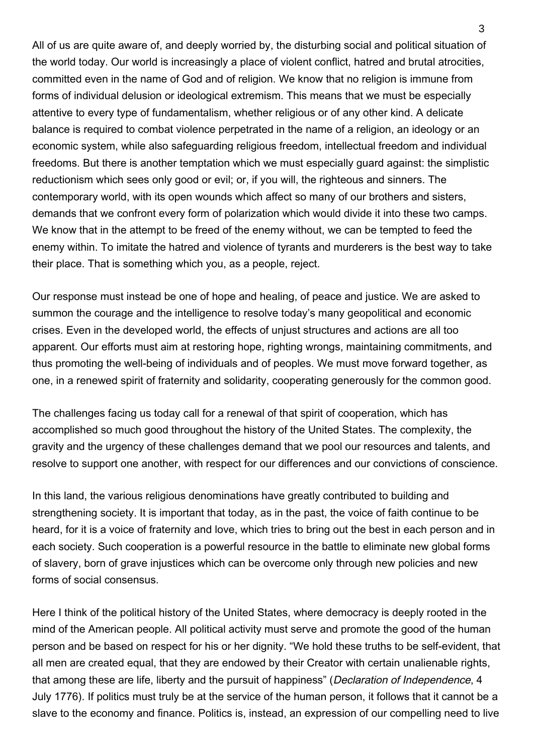All of us are quite aware of, and deeply worried by, the disturbing social and political situation of the world today. Our world is increasingly a place of violent conflict, hatred and brutal atrocities, committed even in the name of God and of religion. We know that no religion is immune from forms of individual delusion or ideological extremism. This means that we must be especially attentive to every type of fundamentalism, whether religious or of any other kind. A delicate balance is required to combat violence perpetrated in the name of a religion, an ideology or an economic system, while also safeguarding religious freedom, intellectual freedom and individual freedoms. But there is another temptation which we must especially guard against: the simplistic reductionism which sees only good or evil; or, if you will, the righteous and sinners. The contemporary world, with its open wounds which affect so many of our brothers and sisters, demands that we confront every form of polarization which would divide it into these two camps. We know that in the attempt to be freed of the enemy without, we can be tempted to feed the enemy within. To imitate the hatred and violence of tyrants and murderers is the best way to take their place. That is something which you, as a people, reject.

Our response must instead be one of hope and healing, of peace and justice. We are asked to summon the courage and the intelligence to resolve today's many geopolitical and economic crises. Even in the developed world, the effects of unjust structures and actions are all too apparent. Our efforts must aim at restoring hope, righting wrongs, maintaining commitments, and thus promoting the well-being of individuals and of peoples. We must move forward together, as one, in a renewed spirit of fraternity and solidarity, cooperating generously for the common good.

The challenges facing us today call for a renewal of that spirit of cooperation, which has accomplished so much good throughout the history of the United States. The complexity, the gravity and the urgency of these challenges demand that we pool our resources and talents, and resolve to support one another, with respect for our differences and our convictions of conscience.

In this land, the various religious denominations have greatly contributed to building and strengthening society. It is important that today, as in the past, the voice of faith continue to be heard, for it is a voice of fraternity and love, which tries to bring out the best in each person and in each society. Such cooperation is a powerful resource in the battle to eliminate new global forms of slavery, born of grave injustices which can be overcome only through new policies and new forms of social consensus.

Here I think of the political history of the United States, where democracy is deeply rooted in the mind of the American people. All political activity must serve and promote the good of the human person and be based on respect for his or her dignity. "We hold these truths to be self-evident, that all men are created equal, that they are endowed by their Creator with certain unalienable rights, that among these are life, liberty and the pursuit of happiness" (Declaration of Independence, 4 July 1776). If politics must truly be at the service of the human person, it follows that it cannot be a slave to the economy and finance. Politics is, instead, an expression of our compelling need to live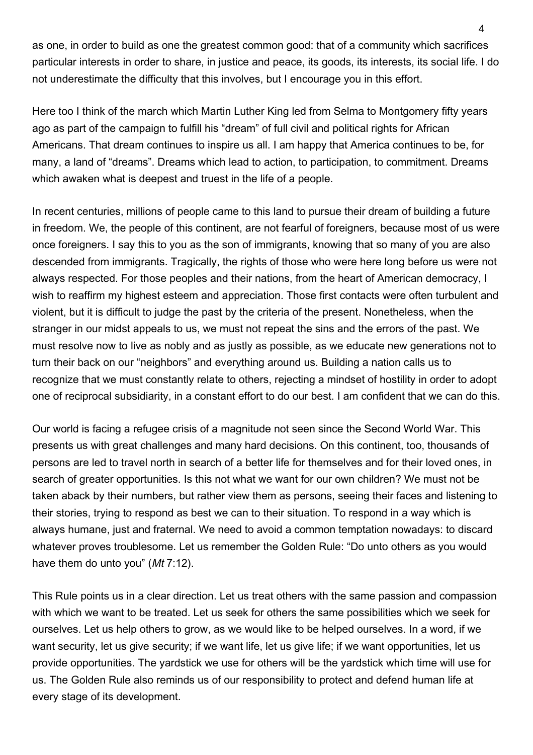as one, in order to build as one the greatest common good: that of a community which sacrifices particular interests in order to share, in justice and peace, its goods, its interests, its social life. I do not underestimate the difficulty that this involves, but I encourage you in this effort.

Here too I think of the march which Martin Luther King led from Selma to Montgomery fifty years ago as part of the campaign to fulfill his "dream" of full civil and political rights for African Americans. That dream continues to inspire us all. I am happy that America continues to be, for many, a land of "dreams". Dreams which lead to action, to participation, to commitment. Dreams which awaken what is deepest and truest in the life of a people.

In recent centuries, millions of people came to this land to pursue their dream of building a future in freedom. We, the people of this continent, are not fearful of foreigners, because most of us were once foreigners. I say this to you as the son of immigrants, knowing that so many of you are also descended from immigrants. Tragically, the rights of those who were here long before us were not always respected. For those peoples and their nations, from the heart of American democracy, I wish to reaffirm my highest esteem and appreciation. Those first contacts were often turbulent and violent, but it is difficult to judge the past by the criteria of the present. Nonetheless, when the stranger in our midst appeals to us, we must not repeat the sins and the errors of the past. We must resolve now to live as nobly and as justly as possible, as we educate new generations not to turn their back on our "neighbors" and everything around us. Building a nation calls us to recognize that we must constantly relate to others, rejecting a mindset of hostility in order to adopt one of reciprocal subsidiarity, in a constant effort to do our best. I am confident that we can do this.

Our world is facing a refugee crisis of a magnitude not seen since the Second World War. This presents us with great challenges and many hard decisions. On this continent, too, thousands of persons are led to travel north in search of a better life for themselves and for their loved ones, in search of greater opportunities. Is this not what we want for our own children? We must not be taken aback by their numbers, but rather view them as persons, seeing their faces and listening to their stories, trying to respond as best we can to their situation. To respond in a way which is always humane, just and fraternal. We need to avoid a common temptation nowadays: to discard whatever proves troublesome. Let us remember the Golden Rule: "Do unto others as you would have them do unto you" (*Mt* 7:12).

This Rule points us in a clear direction. Let us treat others with the same passion and compassion with which we want to be treated. Let us seek for others the same possibilities which we seek for ourselves. Let us help others to grow, as we would like to be helped ourselves. In a word, if we want security, let us give security; if we want life, let us give life; if we want opportunities, let us provide opportunities. The yardstick we use for others will be the yardstick which time will use for us. The Golden Rule also reminds us of our responsibility to protect and defend human life at every stage of its development.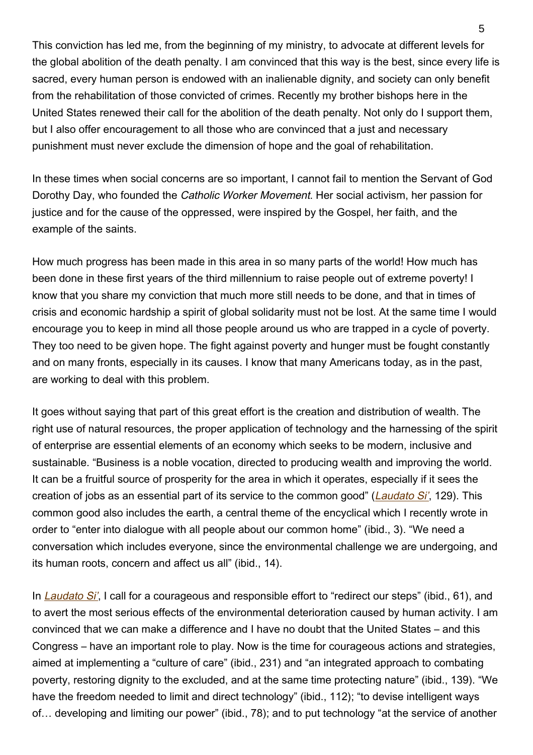This conviction has led me, from the beginning of my ministry, to advocate at different levels for the global abolition of the death penalty. I am convinced that this way is the best, since every life is sacred, every human person is endowed with an inalienable dignity, and society can only benefit from the rehabilitation of those convicted of crimes. Recently my brother bishops here in the United States renewed their call for the abolition of the death penalty. Not only do I support them, but I also offer encouragement to all those who are convinced that a just and necessary punishment must never exclude the dimension of hope and the goal of rehabilitation.

In these times when social concerns are so important, I cannot fail to mention the Servant of God Dorothy Day, who founded the Catholic Worker Movement. Her social activism, her passion for justice and for the cause of the oppressed, were inspired by the Gospel, her faith, and the example of the saints.

How much progress has been made in this area in so many parts of the world! How much has been done in these first years of the third millennium to raise people out of extreme poverty! I know that you share my conviction that much more still needs to be done, and that in times of crisis and economic hardship a spirit of global solidarity must not be lost. At the same time I would encourage you to keep in mind all those people around us who are trapped in a cycle of poverty. They too need to be given hope. The fight against poverty and hunger must be fought constantly and on many fronts, especially in its causes. I know that many Americans today, as in the past, are working to deal with this problem.

It goes without saying that part of this great effort is the creation and distribution of wealth. The right use of natural resources, the proper application of technology and the harnessing of the spirit of enterprise are essential elements of an economy which seeks to be modern, inclusive and sustainable. "Business is a noble vocation, directed to producing wealth and improving the world. It can be a fruitful source of prosperity for the area in which it operates, especially if it sees the creation of jobs as an essential part of its service to the common good" ([Laudato Si'](http://w2.vatican.va/content/francesco/en/encyclicals/documents/papa-francesco_20150524_enciclica-laudato-si.html), 129). This common good also includes the earth, a central theme of the encyclical which I recently wrote in order to "enter into dialogue with all people about our common home" (ibid., 3). "We need a conversation which includes everyone, since the environmental challenge we are undergoing, and its human roots, concern and affect us all" (ibid., 14).

In *[Laudato Si'](http://w2.vatican.va/content/francesco/en/encyclicals/documents/papa-francesco_20150524_enciclica-laudato-si.html)*, I call for a courageous and responsible effort to "redirect our steps" (ibid., 61), and to avert the most serious effects of the environmental deterioration caused by human activity. I am convinced that we can make a difference and I have no doubt that the United States – and this Congress – have an important role to play. Now is the time for courageous actions and strategies, aimed at implementing a "culture of care" (ibid., 231) and "an integrated approach to combating poverty, restoring dignity to the excluded, and at the same time protecting nature" (ibid., 139). "We have the freedom needed to limit and direct technology" (ibid., 112); "to devise intelligent ways of… developing and limiting our power" (ibid., 78); and to put technology "at the service of another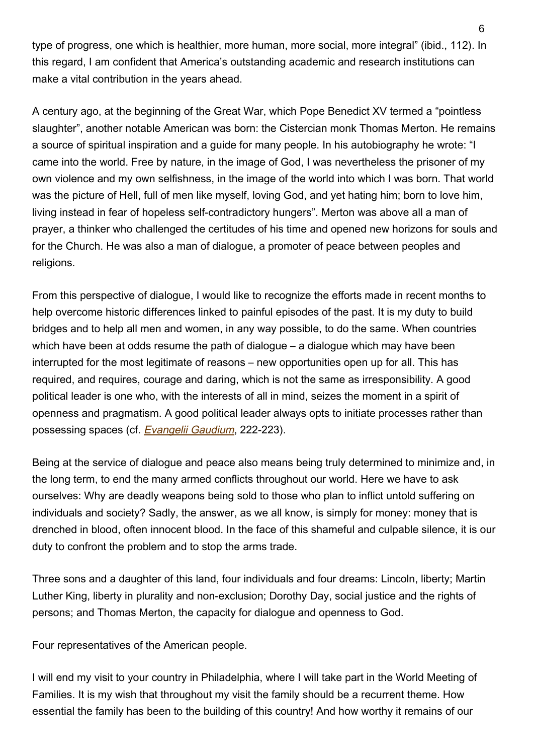type of progress, one which is healthier, more human, more social, more integral" (ibid., 112). In this regard, I am confident that America's outstanding academic and research institutions can make a vital contribution in the years ahead.

A century ago, at the beginning of the Great War, which Pope Benedict XV termed a "pointless slaughter", another notable American was born: the Cistercian monk Thomas Merton. He remains a source of spiritual inspiration and a guide for many people. In his autobiography he wrote: "I came into the world. Free by nature, in the image of God, I was nevertheless the prisoner of my own violence and my own selfishness, in the image of the world into which I was born. That world was the picture of Hell, full of men like myself, loving God, and yet hating him; born to love him, living instead in fear of hopeless self-contradictory hungers". Merton was above all a man of prayer, a thinker who challenged the certitudes of his time and opened new horizons for souls and for the Church. He was also a man of dialogue, a promoter of peace between peoples and religions.

From this perspective of dialogue, I would like to recognize the efforts made in recent months to help overcome historic differences linked to painful episodes of the past. It is my duty to build bridges and to help all men and women, in any way possible, to do the same. When countries which have been at odds resume the path of dialogue – a dialogue which may have been interrupted for the most legitimate of reasons – new opportunities open up for all. This has required, and requires, courage and daring, which is not the same as irresponsibility. A good political leader is one who, with the interests of all in mind, seizes the moment in a spirit of openness and pragmatism. A good political leader always opts to initiate processes rather than possessing spaces (cf. **[Evangelii Gaudium](http://w2.vatican.va/content/francesco/en/apost_exhortations/documents/papa-francesco_esortazione-ap_20131124_evangelii-gaudium.html)**, 222-223).

Being at the service of dialogue and peace also means being truly determined to minimize and, in the long term, to end the many armed conflicts throughout our world. Here we have to ask ourselves: Why are deadly weapons being sold to those who plan to inflict untold suffering on individuals and society? Sadly, the answer, as we all know, is simply for money: money that is drenched in blood, often innocent blood. In the face of this shameful and culpable silence, it is our duty to confront the problem and to stop the arms trade.

Three sons and a daughter of this land, four individuals and four dreams: Lincoln, liberty; Martin Luther King, liberty in plurality and non-exclusion; Dorothy Day, social justice and the rights of persons; and Thomas Merton, the capacity for dialogue and openness to God.

Four representatives of the American people.

I will end my visit to your country in Philadelphia, where I will take part in the World Meeting of Families. It is my wish that throughout my visit the family should be a recurrent theme. How essential the family has been to the building of this country! And how worthy it remains of our